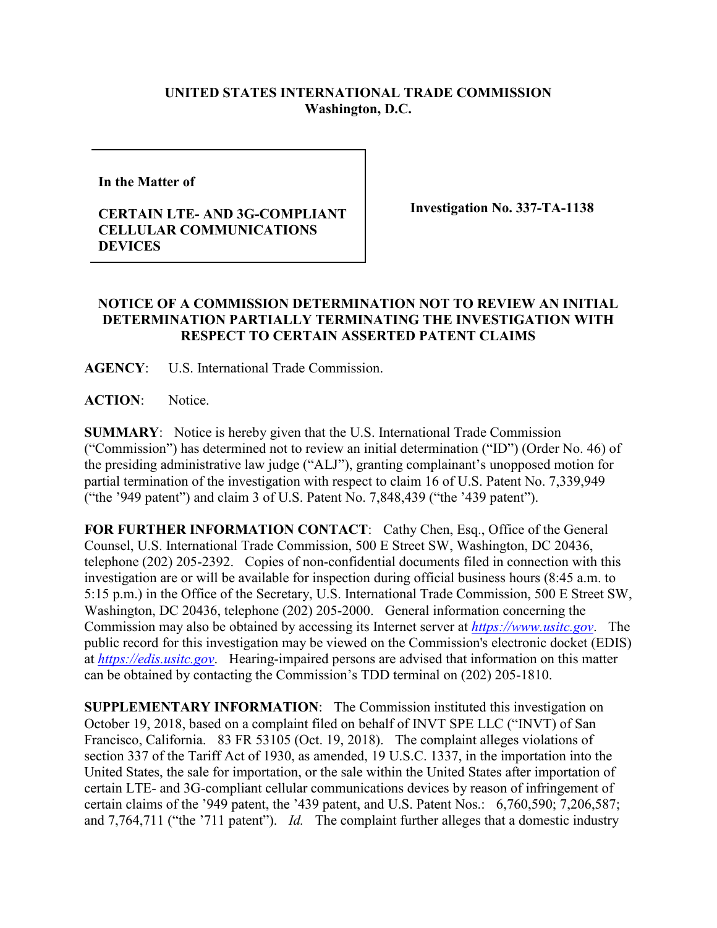## **UNITED STATES INTERNATIONAL TRADE COMMISSION Washington, D.C.**

**In the Matter of** 

## **CERTAIN LTE- AND 3G-COMPLIANT CELLULAR COMMUNICATIONS DEVICES**

**Investigation No. 337-TA-1138**

## **NOTICE OF A COMMISSION DETERMINATION NOT TO REVIEW AN INITIAL DETERMINATION PARTIALLY TERMINATING THE INVESTIGATION WITH RESPECT TO CERTAIN ASSERTED PATENT CLAIMS**

**AGENCY**: U.S. International Trade Commission.

**ACTION**: Notice.

**SUMMARY**: Notice is hereby given that the U.S. International Trade Commission ("Commission") has determined not to review an initial determination ("ID") (Order No. 46) of the presiding administrative law judge ("ALJ"), granting complainant's unopposed motion for partial termination of the investigation with respect to claim 16 of U.S. Patent No. 7,339,949 ("the '949 patent") and claim 3 of U.S. Patent No. 7,848,439 ("the '439 patent").

**FOR FURTHER INFORMATION CONTACT**: Cathy Chen, Esq., Office of the General Counsel, U.S. International Trade Commission, 500 E Street SW, Washington, DC 20436, telephone (202) 205-2392. Copies of non-confidential documents filed in connection with this investigation are or will be available for inspection during official business hours (8:45 a.m. to 5:15 p.m.) in the Office of the Secretary, U.S. International Trade Commission, 500 E Street SW, Washington, DC 20436, telephone (202) 205-2000. General information concerning the Commission may also be obtained by accessing its Internet server at *[https://www.usitc.gov](https://www.usitc.gov/)*. The public record for this investigation may be viewed on the Commission's electronic docket (EDIS) at *[https://edis.usitc.gov](https://edis.usitc.gov/)*. Hearing-impaired persons are advised that information on this matter can be obtained by contacting the Commission's TDD terminal on (202) 205-1810.

**SUPPLEMENTARY INFORMATION**: The Commission instituted this investigation on October 19, 2018, based on a complaint filed on behalf of INVT SPE LLC ("INVT) of San Francisco, California. 83 FR 53105 (Oct. 19, 2018). The complaint alleges violations of section 337 of the Tariff Act of 1930, as amended, 19 U.S.C. 1337, in the importation into the United States, the sale for importation, or the sale within the United States after importation of certain LTE- and 3G-compliant cellular communications devices by reason of infringement of certain claims of the '949 patent, the '439 patent, and U.S. Patent Nos.: 6,760,590; 7,206,587; and 7,764,711 ("the '711 patent"). *Id.* The complaint further alleges that a domestic industry